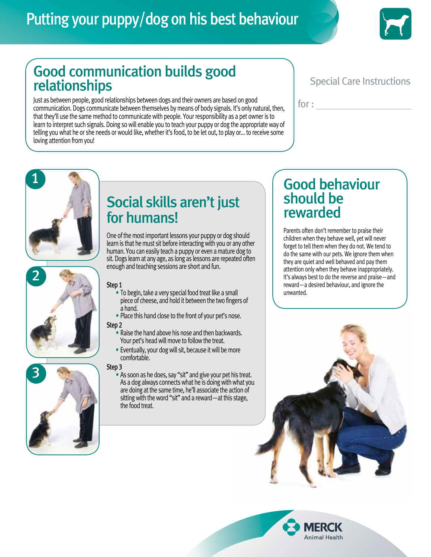# Putting your puppy/dog on his best behaviour



## Good communication builds good relationships

Just as between people, good relationships between dogs and their owners are based on good communication. Dogs communicate between themselves by means of body signals. It's only natural, then, that they'll use the same method to communicate with people. Your responsibility as a pet owner is to learn to interpret such signals. Doing so will enable you to teach your puppy or dog the appropriate way of telling you what he or she needs or would like, whether it's food, to be let out, to play or… to receive some loving attention from you!

#### Special Care Instructions

for :

# 1

2

## Social skills aren't just for humans!

One of the most important lessons your puppy or dog should learn is that he must sit before interacting with you or any other human. You can easily teach a puppy or even a mature dog to sit. Dogs learn at any age, as long as lessons are repeated often enough and teaching sessions are short and fun.

- **Step 1**<br>• To begin, take a very special food treat like a small piece of cheese, and hold it between the two fingers of<br>a hand.
	- Place this hand close to the front of your pet's nose.
- Step 2
	- Raise the hand above his nose and then backwards. Your pet's head will move to follow the treat.
	- Eventually, your dog will sit, because it will be more comfortable.

#### Step 3

- 3
- As soon as he does, say "sit" and give your pet his treat. As a dog always connects what he is doing with what you are doing at the same time, he'll associate the action of sitting with the word "sit" and a reward—at this stage, the food treat.

#### Good behaviour should be rewarded

Parents often don't remember to praise their children when they behave well, yet will never forget to tell them when they do not. We tend to do the same with our pets. We ignore them when they are quiet and well behaved and pay them attention only when they behave inappropriately. It's always best to do the reverse and praise—and reward—a desired behaviour, and ignore the unwanted.